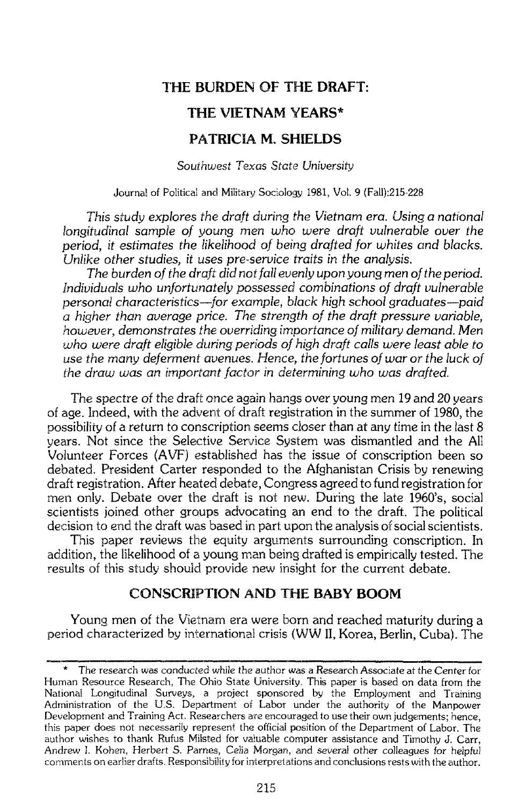# **THE BURDEN OF THE DRAFT: THE VIETNAM YEARS\* PATRICIA M. SHIELDS**

*So~ithuiest* Texas *Sfate* University

Journal of Poiitical and Military Sociology 1981, Vol. 9 (Fall):215-228

This study explores the draft during the Vietnam era. Using a national longitudinal sample of young men who were draft vulnerable over the period, it estimates the likelihood of being drafted for whites and blacks. Unlike other studies, it uses pre-service traits in the analysis.

The burden of the draft did not fall evenly upon young men of the period. Individuals who unfortunately possessed combinations of draft vulnerable personal characteristics-for example, black high school graduates-paid *a* higher than avergge price. The strength of the draft pressure variable, however, demonstrates the overriding importance of military demand. Men who *were* draft eligible during periods of high draft calls were least able to use the many deferment avenues. Hence, the fortunes of war or the luck of the draw was an *important factor in determining who was drafted.* 

The spectre of the draft once again hangs over young men 19 and 20 years of age. Indeed, with the advent of draft registration in the summer of 1980, the possibility of a return to conscription seems closer than at any time in the last 8 years. Not since the Selective Service System was dismantled and the All Volunteer Forces **(AVF)** established has the issue of conscription been so debated. President Carter raspanded to the Afghanistan Crisis by renewing draft registration. After heated debate, Congress agreed to fund registration for men only. Debate over the draft is not new. During the late 1960's, social scientists joined other groups advocating an end to the draft. The political decision to end the draft was based in part upon the analysis of social scientists.

This paper reviews the equity arguments surrounding conscription. In addition, the likelihood of a young man being drafted is empirically tested. The results of this study should provide new insight for the current debate.

# **CONSCRIPTION AND THE BABY BOOM**

Young men of the Vietnam era were born and reached maturity during a period characterized by international crisis (WW II, Korea, Berlin, Cuba). The **CONSCRIPTION AND THE BABY BOOM**<br>Young men of the Vietnam era were born and reached maturity during a<br>riod characterized by international crisis (WW II, Korea, Berlin, Cuba). The<br>\* The research was conducted while the auth

The research was conducted while the author was **a** Research Associate at the Center ior Human Resource Research, The Ohio State University. This paper is based on data from the National Longitudinal Surveys, a project sponsored by :he Employment and Training Administration of the U.S. Department of Labor under the authority of the Manpower Development and Training Act. Researchers are encouraged to use their own judgements; hence, this paper does not necessarily represent the official position of the Department of Labor. The author wishes to thank Rufus Milsted for valuable computer assistance and Timothy J. Carr, Andrew I. Kohen, Herbert S. Parnes, Celia Morgan, and several other colleagues for helpful comments on earlier drafts. Responsibility for interpretations and conclusions rests with the author.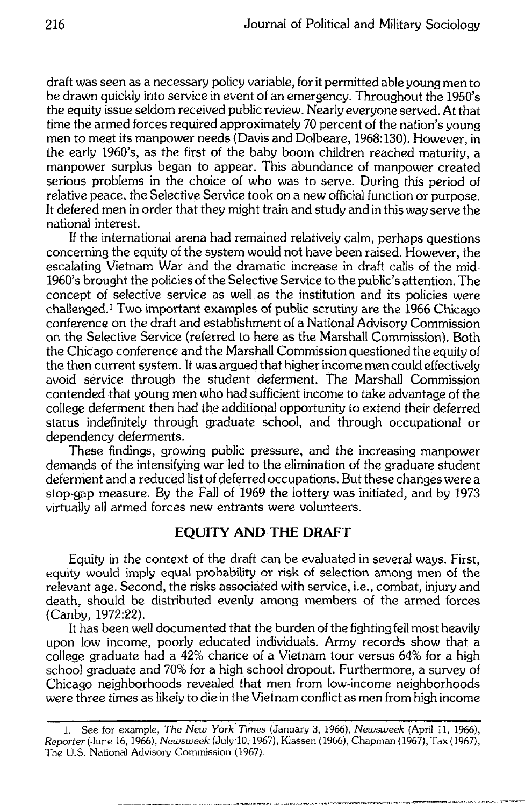draft was seen as a necessary policy variable, for it permitted able young men to be drawn quickly into service in event of an emergency. Throughout the 1950's the equity issue seldom received public review. Nearly everyone served. At that time the armed forces required approximately 70 percent of the nation's young men to meet its manpower needs (Davis and Dolbeare, 1968:130). However, in the early 1960's, as the first of the baby boom children reached maturity, a manpower surplus began to appear. This abundance of manpower created serious problems in the choice of who was to serve. During this period of relative peace, the Selective Service took on a new official function or purpose. It defered men in order that they might train and study and in this way serve the national interest.

If the international arena had remained relatively calm, perhaps questions concerning the equity of the system would not have been raised. However, the escalating Vietnam War and the dramatic increase in draft calls of the mid-1960's brought the policies of the Selective Service to the public's attention. The concept of selective service as well as the institution and its policies were challenged.<sup>1</sup> Two important examples of public scrutiny are the 1966 Chicago conference on the draft and establishment of a National Advisory Commission on the Selective Service (referred to here as the Marshall Commission). Both the Chicago conference and the Marshall Commission questioned the equity of the then current system. It was argued that higher income men could effectively avoid service through the student deferment. The Marshall Commission contended that young men who had sufficient income to take advantage of the college deferment then had the additional opportunity to extend their deferred status indefinitely through graduate school, and through occupational or dependency deferments.

These findings, growing public pressure, and the increasing manpower demands of the intensifying war led to the elimination of the graduate student deferment and a reduced list of deferred occupations. But these changes were a stop-gap measure. By the Fall of 1969 the lottery was initiated, and by 1973 virtually all armed forces new entrants were volunteers.

## **EQUITY AND THE DRAFT**

Equity in the context of the draft can be evaluated in several ways. First, equity would imply equal probability or risk of selection among men of the relevant age. Second, the risks associated with service, i.e., combat, injury and death, should be distributed evenly among members of the armed forces (Canby, 1972:22).

It has been well documented that the burden of the fighting fell most heavily upon low income, poorly educated individuals. Army records show that a college graduate had a 42% chance of a Vietnam tour versus 64% for a high school graduate and 70% for a high school dropout. Furthermore, a survey of Chicago neighborhoods revealed that men from low-income neighborhoods were three times as likely to die in the Vietnam conflict as men from high income

<sup>1.</sup> See for example, The New York Times (January 3, 1966), Newsweek (April 11, 1966), Reporter (June 16, 1966), Newsweek (July 10, 1967), Klassen (1966), Chapman (1967), Tax (1967), The U.S. National Advisory Commission (1967).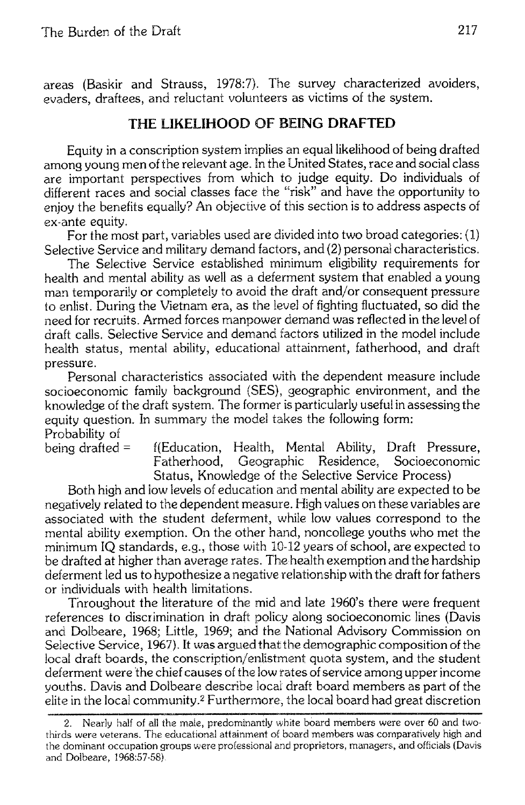areas (Baskir and Strauss, 1978:7). The survey characterized avoiders, evaders, draftees, and reluctant volunteers as victims of the system.

# THE LIKELIHOOD OF BEING DRAFTED

Equity in a conscription system implies an equal likelihood of being drafted among young men of the relevant age. In the United States, race and social class are important perspectives from which to judge equity. Do individuals of different races and social classes face the "risk" and have the opportunity to eniov the benefits equally? An objective of this section is to address aspects of ex-ante equity.

For the most part, variables used are divided into two broad categories: (1) Selective Service and military demand factors, and (2) personal characteristics.

The Selective Service established minimum eligibility requirements for health and mental ability as well as a deferment system that enabled a young man temporarily or completely to avoid the draft and/or consequent pressure to enlist. During the Vietnam era, as the level of fighting fluctuated, so did the need for recruits. Armed forces manpower demand was reflected in the level of draft calls. Selective Service and demand factors utilized in the model include health status, mental ability, educational attainment, fatherhood, and draft pressure.

Personal characteristics associated with the dependent measure include socioeconomic family background (SES), geographic environment, and the knowledge of the draft system. The former is particularly useful in assessing the equity question. In summary the model takes the following form: Probability of

being drafted  $=$ 

f(Education, Health, Mental Ability, Draft Pressure, Fatherhood, Geographic Residence, Socioeconomic Status, Knowledge of the Selective Service Process)

Both high and low levels of education and mental ability are expected to be negatively related to the dependent measure. High values on these variables are associated with the student deferment, while low values correspond to the mental ability exemption. On the other hand, noncollege youths who met the minimum IO standards, e.g., those with 10-12 years of school, are expected to be drafted at higher than average rates. The health exemption and the hardship deferment led us to hypothesize a negative relationship with the draft for fathers or individuals with health limitations.

To roughout the literature of the mid and late 1960's there were frequent references to discrimination in draft policy along socioeconomic lines (Davis and Dolbeare, 1968; Little, 1969; and the National Advisory Commission on Selective Service, 1967). It was argued that the demographic composition of the local draft boards, the conscription/enlistment quota system, and the student deferment were the chief causes of the low rates of service among upper income vouths. Davis and Dolbeare describe local draft board members as part of the elite in the local community.<sup>2</sup> Furthermore, the local board had great discretion

<sup>2.</sup> Nearly half of all the male, predominantly white board members were over 60 and twothirds were veterans. The educational attainment of board members was comparatively high and the dominant occupation groups were professional and proprietors, managers, and officials (Davis and Dolbeare, 1968:57-58).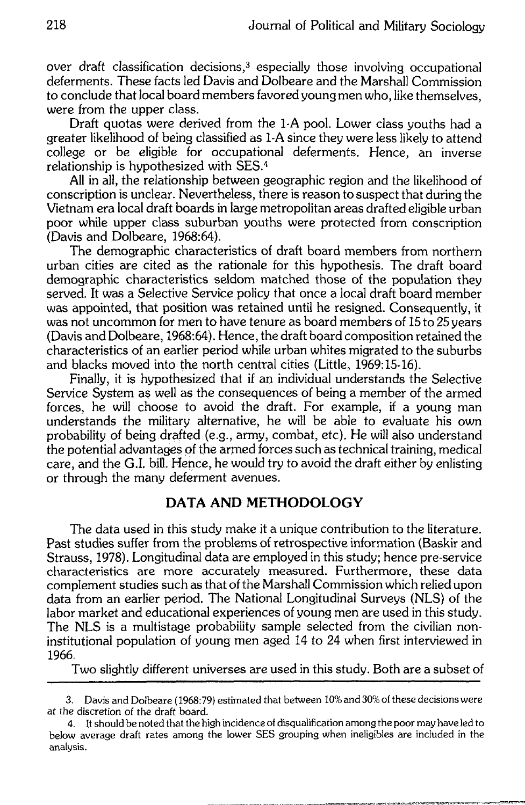over draft classification decisions,<sup>3</sup> especially those involving occupational deferments. These facts led Davis and Dolbeare and the Marshall Commission to conclude that local board members favored young men who, like themselves. were from the upper class.

Draft quotas were derived from the 1-A pool. Lower class youths had a greater likelihood of being classified as 1-A since they were less likely to attend college or be eligible for occupational deferments. Hence, an inverse relationship is hypothesized with SES.<sup>4</sup>

All in all, the relationship between geographic region and the likelihood of conscription is unclear. Nevertheless, there is reason to suspect that during the Vietnam era local draft boards in large metropolitan areas drafted eligible urban poor while upper class suburban youths were protected from conscription (Davis and Dolbeare, 1968:64).

The demographic characteristics of draft board members from northern urban cities are cited as the rationale for this hypothesis. The draft board demographic characteristics seldom matched those of the population they served. It was a Selective Service policy that once a local draft board member was appointed, that position was retained until he resigned. Consequently, it was not uncommon for men to have tenure as board members of 15 to 25 years (Davis and Dolbeare, 1968:64). Hence, the draft board composition retained the characteristics of an earlier period while urban whites migrated to the suburbs and blacks moved into the north central cities (Little, 1969:15-16).

Finally, it is hypothesized that if an individual understands the Selective Service System as well as the consequences of being a member of the armed forces, he will choose to avoid the draft. For example, if a young man understands the military alternative, he will be able to evaluate his own probability of being drafted (e.g., army, combat, etc). He will also understand the potential advantages of the armed forces such as technical training, medical care, and the G.I. bill. Hence, he would try to avoid the draft either by enlisting or through the many deferment avenues.

## DATA AND METHODOLOGY

The data used in this study make it a unique contribution to the literature. Past studies suffer from the problems of retrospective information (Baskir and Strauss, 1978). Longitudinal data are employed in this study; hence pre-service characteristics are more accurately measured. Furthermore, these data complement studies such as that of the Marshall Commission which relied upon data from an earlier period. The National Longitudinal Surveys (NLS) of the labor market and educational experiences of young men are used in this study. The NLS is a multistage probability sample selected from the civilian noninstitutional population of young men aged 14 to 24 when first interviewed in 1966.

Two slightly different universes are used in this study. Both are a subset of

<sup>3.</sup> Davis and Dolbeare (1968:79) estimated that between 10% and 30% of these decisions were at the discretion of the draft board.

<sup>4.</sup> It should be noted that the high incidence of disqualification among the poor may have led to below average draft rates among the lower SES grouping when ineligibles are included in the analysis.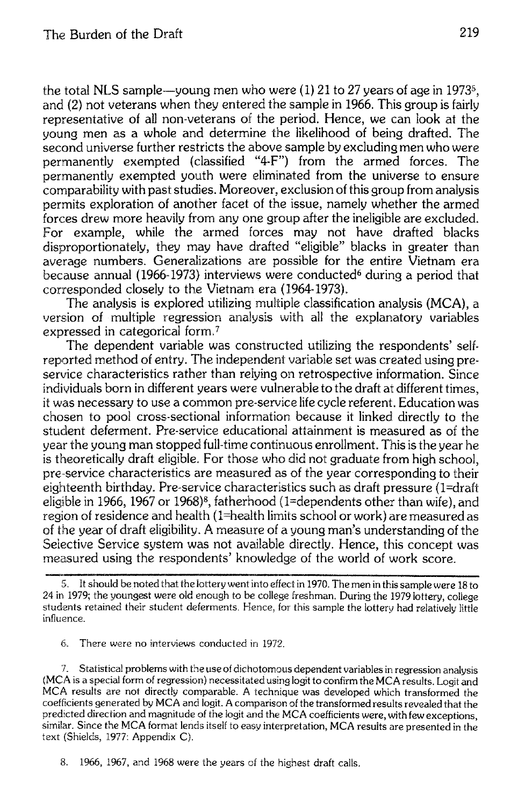the total NLS sample—voung men who were  $(1)$  21 to 27 vears of age in 1973<sup>5</sup>. and (2) not veterans when they entered the sample in 1966. This group is fairly representative of all non-veterans of the period. Hence, we can look at the young men as a whole and determine the likelihood of being drafted. The second universe further restricts the above sample by excluding men who were permanently exempted (classified "4-F") from the armed forces. The permanently exempted youth were eliminated from the universe to ensure comparability with past studies. Moreover, exclusion of this group from analysis permits exploration of another facet of the issue, namely whether the armed forces drew more heavily from any one group after the ineligible are excluded. For example, while the armed forces may not have drafted blacks disproportionately, they may have drafted "eligible" blacks in greater than average numbers. Generalizations are possible for the entire Vietnam era because annual (1966-1973) interviews were conducted<sup>6</sup> during a period that corresponded closely to the Vietnam era (1964-1973).

The analysis is explored utilizing multiple classification analysis (MCA), a version of multiple regression analysis with all the explanatory variables expressed in categorical form.<sup>7</sup>

The dependent variable was constructed utilizing the respondents' selfreported method of entry. The independent variable set was created using preservice characteristics rather than relying on retrospective information. Since individuals born in different years were vulnerable to the draft at different times. it was necessary to use a common pre-service life cycle referent. Education was chosen to pool cross-sectional information because it linked directly to the student deferment. Pre-service educational attainment is measured as of the year the young man stopped full-time continuous enrollment. This is the year he is theoretically draft eligible. For those who did not graduate from high school. pre-service characteristics are measured as of the year corresponding to their eighteenth birthday. Pre-service characteristics such as draft pressure (1=draft eligible in 1966, 1967 or 1968)<sup>8</sup>, fatherhood (1=dependents other than wife), and region of residence and health (1=health limits school or work) are measured as of the year of draft eligibility. A measure of a young man's understanding of the Selective Service system was not available directly. Hence, this concept was measured using the respondents' knowledge of the world of work score.

6. There were no interviews conducted in 1972.

7. Statistical problems with the use of dichotomous dependent variables in regression analysis (MCA is a special form of regression) necessitated using logit to confirm the MCA results. Logit and MCA results are not directly comparable. A technique was developed which transformed the coefficients generated by MCA and logit. A comparison of the transformed results revealed that the predicted direction and magnitude of the logit and the MCA coefficients were, with few exceptions, similar. Since the MCA format lends itself to easy interpretation, MCA results are presented in the text (Shields, 1977: Appendix C).

8. 1966, 1967, and 1968 were the years of the highest draft calls.

<sup>5.</sup> It should be noted that the lottery went into effect in 1970. The men in this sample were 18 to 24 in 1979; the youngest were old enough to be college freshman. During the 1979 lottery, college students retained their student deferments. Hence, for this sample the lottery had relatively little influence.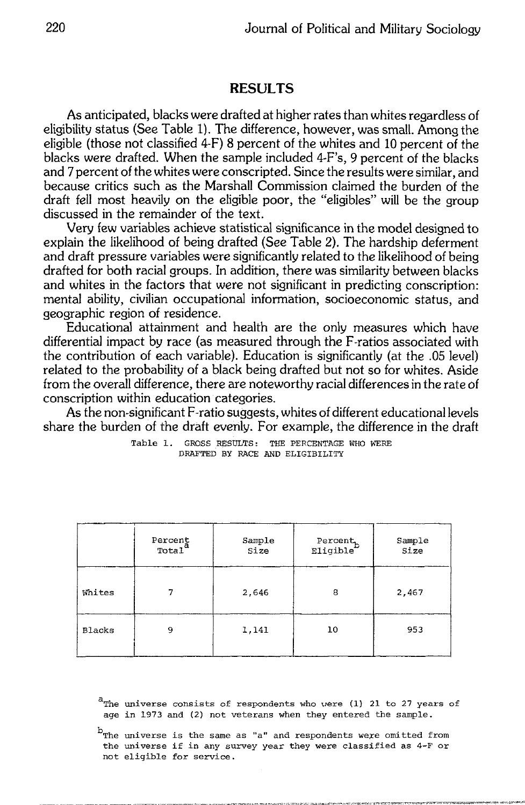## **RESULTS**

As anticipated, blacks were drafted at higher rates than whites regardless of eligibility status (See Table 1). The difference, however, was small. Among the eligible (those not classified 4-F) 8 percent of the whites and 10 percent of the blacks were drafted. When the sample included 4-F's, 9 percent of the blacks and 7 percent of the whites were conscripted. Since the results were similar, and because critics such as the Marshall Commission claimed the burden of the draft fell most heavily on the eligible poor, the "eligibles" will be the group discussed in the remainder of the text.

Very few variables achieve statistical significance in the model designed to explain the likelihood of being drafted (See Table 2). The hardship deferment and draft pressure variables were significantly related to the likelihood of being drafted for both racial groups. In addition, there was similarity between blacks and whites in the factors that were not significant in predicting conscription: mental ability, civilian occupational information, socioeconomic status, and geographic region of residence.

Educational attainment and health are the only measures which have differential impact by race (as measured through the F-ratios associated with the contribution of each variable). Education is significantly (at the .05 level) related to the probability of a black being drafted but not so for whites. Aside from the overall difference, there are noteworthy racial differences in the rate of conscription within education categories.

As the non-significant F-ratio suggests, whites of different educational levels share the burden of the draft evenly. For example, the difference in the draft

|        | Percent<br>Total | Sample<br>Size | $\texttt{Percent}_b$ Eligible | Sample<br>Size |
|--------|------------------|----------------|-------------------------------|----------------|
| Whites |                  | 2,646          | 8                             | 2,467          |
| Blacks | 9                | 1,141          | 10                            | 953            |

Table 1. GROSS RESULTS: THE PERCENTAGE WHO WERE DRAFTED BY RACE AND ELIGIBILITY

a<sub>The universe consists of respondents who were (1)</sub> 21 to 27 years of age in 1973 and (2) not veterans when they entered the sample.

 $^{\text{b}}$ The universe is the same as "a" and respondents were omitted from the universe if in any survey year they were classified as 4-F or not eligible for service.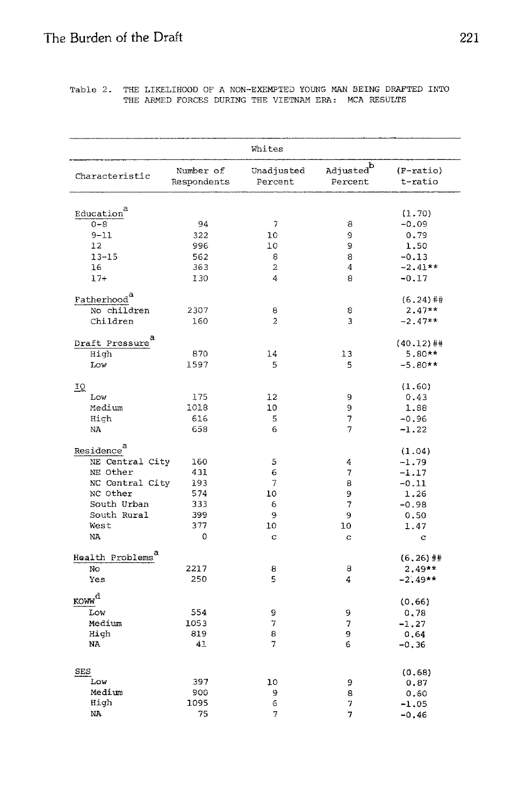Table 2. THE LIKELIHOOD OF A NON-EXEMPTED YOUNG MAN BEING DRAFTED INTO THE ARMED FORCES DURING THE VIETNAM ERA: MCA RESULTS

| Whites                                  |                          |                          |                         |                        |
|-----------------------------------------|--------------------------|--------------------------|-------------------------|------------------------|
| Characteristic                          | Number of<br>Respondents | Unadjusted<br>Percent    | $Adjusted^b$<br>Percent | $(F-ratio)$<br>t-ratio |
|                                         |                          |                          |                         |                        |
| Education <sup>a</sup>                  |                          |                          |                         | (1.70)                 |
| $0 - 8$                                 | 94                       | $\overline{\phantom{a}}$ | 8                       | $-0.09$                |
| $9 - 11$                                | 322                      | 10                       | 9                       | 0.79                   |
| 12                                      | 996                      | 10                       | 9                       | 1.50                   |
| $13 - 15$                               | 562                      | 8                        | 8                       | $-0.13$                |
| 16                                      | 363                      | $\overline{2}$           | 4                       | $-2.41**$              |
| $17+$                                   | 130                      | 4                        | 8                       | $-0.17$                |
| Fatherhood <sup>a</sup>                 |                          |                          |                         | $(6.24)$ ##            |
| No children                             | 2307                     | 8                        | 8                       | $2.47**$               |
| Children                                | 160                      | $\overline{2}$           | 3                       | $-2.47**$              |
| а                                       |                          |                          |                         |                        |
| Draft Pressure                          |                          |                          |                         | $(40.12)$ ##           |
| High                                    | 870                      | 14                       | 13                      | $5.80**$               |
| Low                                     | 1597                     | 5                        | 5                       | $-5.80**$              |
| IQ                                      |                          |                          |                         | (1.60)                 |
| Low                                     | 175                      | 12                       | 9                       | 0.43                   |
| Medium                                  | 1018                     | 10                       | 9                       | 1.88                   |
| High                                    | 616                      | 5                        | 7                       | $-0.96$                |
| NA                                      | 658                      | 6                        | 7                       | $-1.22$                |
| Residence <sup>d</sup>                  |                          |                          |                         |                        |
|                                         |                          |                          |                         | (1.04)                 |
| NE Central City                         | 160                      | 5                        | 4                       | $-1.79$                |
| NE Other                                | 431                      | 6                        | 7                       | $-1.17$                |
| NC Central City                         | 193                      | 7                        | 8                       | $-0.11$                |
| NC Other                                | 574                      | 10                       | 9                       | 1.26                   |
| South Urban                             | 333                      | 6                        | 7                       | $-0.98$                |
| South Rural                             | 399                      | 9                        | 9                       | 0.50                   |
| West                                    | 377                      | 10                       | 10                      | 1.47                   |
| NA.                                     | 0                        | $\mathbf c$              | c                       | c                      |
| Health Problems <sup>a</sup>            |                          |                          |                         | $(6, 26)$ ##           |
| No.                                     | 2217                     | 8                        | 8                       | $2.49**$               |
| Yes                                     | 250                      | 5                        | 4                       | $-2.49**$              |
| $\underline{\mathrm{KOW}}^{\mathrm{d}}$ |                          |                          |                         | (0.66)                 |
| Low                                     | 554                      | 9                        | 9                       | 0.78                   |
| Medium                                  | 1053                     | 7                        | 7                       | $-1.27$                |
| High                                    | 819                      | 8                        | 9                       | 0.64                   |
| NA                                      | 41                       | 7                        | 6                       | $-0.36$                |
|                                         |                          |                          |                         |                        |
| <b>SES</b>                              |                          |                          |                         | (0.68)                 |
| Low                                     | 397                      | 10                       | 9                       | 0.87                   |
| Medium                                  | 900                      | 9                        | 8                       | 0.60                   |
| Hiqh                                    | 1095                     | 6                        | 7                       | $-1.05$                |
| NΑ                                      | 75                       | 7                        | 7                       | $-0.46$                |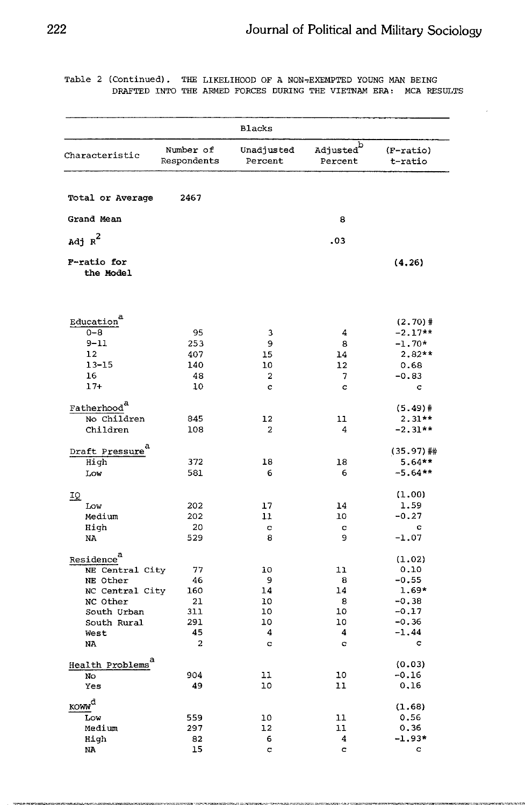Table 2 (Continued). THE LIKELIHOOD OF A NON-EXEMPTED YOUNG MAN BEING DRAFTED INTO THE ARMED FORCES DURING THE VIETNAM ERA: MCA RESULTS

|                                 |                               | <b>Blacks</b>         |                                  |                      |
|---------------------------------|-------------------------------|-----------------------|----------------------------------|----------------------|
|                                 |                               |                       |                                  |                      |
| Characteristic                  | Number of<br>Respondents      | Unadjusted<br>Percent | Adjusted <sup>b</sup><br>Percent | (F-ratio)<br>t-ratio |
| Total or Average                | 2467                          |                       |                                  |                      |
|                                 |                               |                       |                                  |                      |
| Grand Mean                      |                               |                       | 8                                |                      |
| Adj $\kappa^2$                  |                               |                       | .03                              |                      |
| <b>F-ratio for</b><br>the Model |                               |                       |                                  | (4, 26)              |
| Education <sup>a</sup>          |                               |                       |                                  | $(2.70)$ #           |
| $0 - 8$                         | 95                            | 3                     | 4                                | $-2.17**$            |
| $9 - 11$                        | 253                           | 9                     | 8                                | $-1.70*$             |
| 12                              | 407                           | 15                    | 14                               | $2.82**$             |
| $13 - 15$                       | 140                           | 10                    | 12                               | 0.68                 |
| 16<br>$17+$                     | 48<br>10                      | 2<br>c                | 7<br>c                           | $-0.83$<br>c         |
|                                 |                               |                       |                                  |                      |
| Fatherhood <sup>a</sup>         |                               |                       |                                  | $(5.49)$ #           |
| No Children                     | 845                           | 12                    | 11                               | $2.31**$             |
| Children                        | 108                           | 2                     | 4                                | $-2.31**$            |
| Draft Pressure                  |                               |                       |                                  | (35.97)##            |
| High                            | 372                           | 18                    | 18                               | $5.64**$             |
| Low                             | 581                           | 6                     | 6                                | $-5.64**$            |
| IQ                              |                               |                       |                                  | (1.00)               |
| Low                             | 202                           | 17                    | 14                               | 1.59                 |
| Medium                          | 202                           | 11                    | 10                               | $-0.27$              |
| High                            | 20                            | ¢                     | $\mathbf C$                      | c                    |
| NA                              | 529                           | 8                     | 9                                | $-1.07$              |
| Residence <sup>a</sup>          |                               |                       |                                  | (1.02)               |
| NE Central City                 | 77                            | 10                    | 11                               | 0.10                 |
| NE Other                        | 46                            | 9                     | 8                                | $-0.55$              |
| NC Central City                 | 160                           | 14                    | 14                               | $1.69*$              |
| NC Other                        | 21                            | 10                    | 8                                | $-0.38$              |
| South Urban                     | 311                           | 10                    | 10                               | $-0.17$              |
| South Rural                     | 291                           | 10                    | 10                               | $-0.36$              |
| West<br>NA                      | 45<br>$\overline{\mathbf{c}}$ | 4<br>c                | 4<br>c                           | $-1.44$<br>c         |
|                                 |                               |                       |                                  |                      |
| Health Problems <sup>a</sup>    |                               |                       |                                  | (0.03)               |
| No                              | 904                           | 11                    | 10                               | $-0.16$              |
| Yes                             | 49                            | 10                    | 11                               | 0.16                 |
| <b>KOWW</b> <sup>d</sup>        |                               |                       |                                  | (1.68)               |
| Low                             | 559                           | 10                    | 11                               | 0.56                 |
| Medium                          | 297                           | 12                    | 11                               | 0.36<br>$-1.93*$     |
| High<br>NA                      | 82<br>15                      | 6<br>C                | 4<br>c                           | $\overline{c}$       |
|                                 |                               |                       |                                  |                      |

.<br>1920 The Constitution of the All State Product (1930) CPC (2000) Also The CPC and Constitution of the Constitu

**TERRA ISSUE INVESTIGATION** IS IN

**States das 2 tana** 

**Industrial Americans**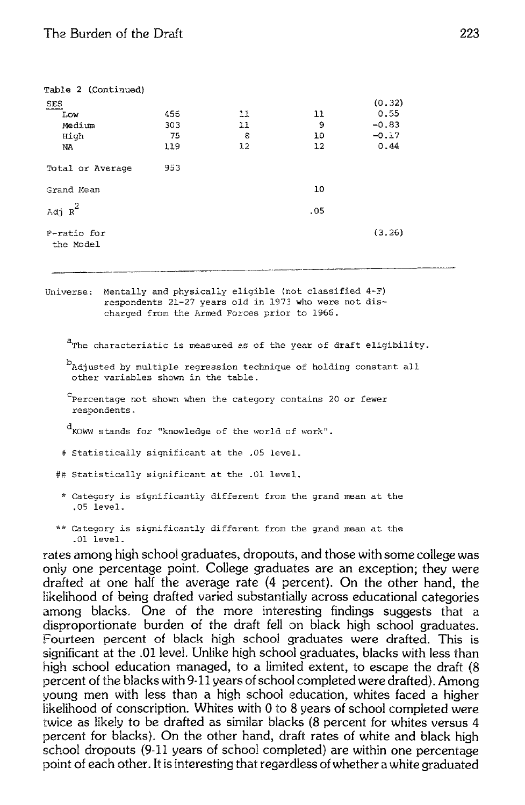| Table 2 (Continued)      |     |    |     |         |
|--------------------------|-----|----|-----|---------|
| <b>SES</b>               |     |    |     | (0.32)  |
| Low                      | 456 | 11 | 11  | 0.55    |
| Medium                   | 303 | 11 | 9   | $-0.83$ |
| High                     | 75  | 8  | 10  | $-0.17$ |
| NA.                      | 119 | 12 | 12  | 0.44    |
| Total or Average         | 953 |    |     |         |
| Grand Mean               |     |    | 10  |         |
| Adj $\rm{_R}^2$          |     |    | .05 |         |
| F-ratio for<br>the Model |     |    |     | (3, 26) |

Universe: Mentally and physically eligible (not classified 4-F) respondents 21-27 years old in 1973 who were not discharged from the Armed Forces prior to 1966.

<sup>a</sup>The characteristic is measured as of the year of draft eligibility.

badjusted by multiple regression technique of holding constant all other variables shown in the table.

<sup>C</sup>Percentage not shown when the category contains 20 or fewer respondents.

KOWW stands for "knowledge of the world of work".

# Statistically significant at the .05 level.

## Statistically significant at the .01 level.

- \* Category is significantly different from the grand mean at the .05 level.
- \*\* Category is significantly different from the grand mean at the .01 level.

rates among high school graduates, dropouts, and those with some college was only one percentage point. College graduates are an exception; they were drafted at one half the average rate (4 percent). On the other hand, the likelihood of being drafted varied substantially across educational categories among blacks. One of the more interesting findings suggests that a disproportionate burden of the draft fell on black high school graduates. Fourteen percent of black high school graduates were drafted. This is significant at the .01 level. Unlike high school graduates, blacks with less than high school education managed, to a limited extent, to escape the draft (8) percent of the blacks with 9-11 years of school completed were drafted). Among young men with less than a high school education, whites faced a higher likelihood of conscription. Whites with 0 to 8 years of school completed were twice as likely to be drafted as similar blacks (8 percent for whites versus 4 percent for blacks). On the other hand, draft rates of white and black high school dropouts (9-11 years of school completed) are within one percentage point of each other. It is interesting that regardless of whether a white graduated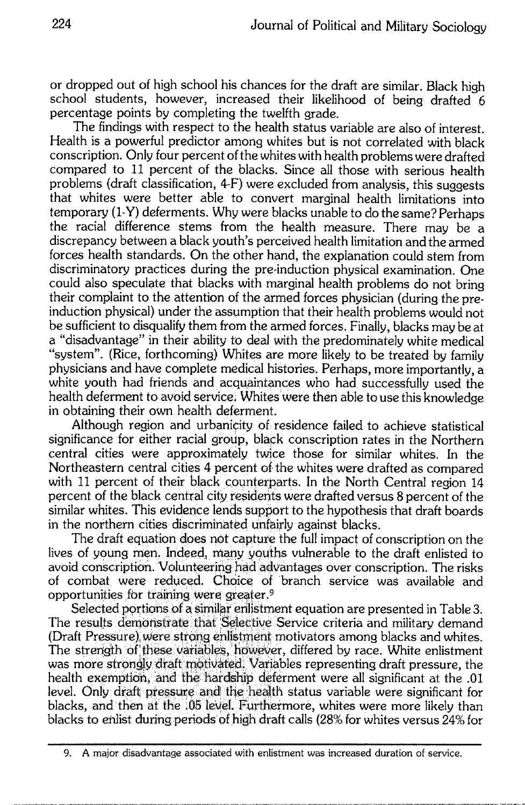or dropped out of high school his chances for the draft are similar. Black high school students, however, increased their likelihood of being drafted 6 percentage points by completing the twelfth grade.

The findings with respect to the health status variable are also of interest. Health is a powerful predictor among whites but is not correlated with black conscription. Only four percent of the whites with health problems were drafted compared to 11 percent of the blacks. Since all those with serious health problems (draft classification, 4-F) were excluded from analysis, this suggests that whites were better able to convert marginal health limitations into temporary (1-Y) deferments. Why were blacks unable to do the same? Perhaps the racial difference stems from the health measure. There may be a discrepancy between a black youth's perceived health limitation and the armed forces health standards. On the other hand, the explanation could stem from discriminatory practices during the pre-induction physical examination. One could also speculate that blacks with marginal health problems do not bring their complaint to the attention of the armed forces physician (during the preinduction physical) under the assumption that their health problems would not be sufficient to disqualify them from the armed forces. Finally, blacks may be at a "disadvantage" in their ability to deal with the predominately white medical "system". (Rice, forthcoming) Whites are more likely to be treated by family physicians and have complete medical histories. Perhaps, more importantly, a white youth had friends and acquaintances who had successfully used the health deferment to avoid service. Whites were then able to use this knowledge in obtaining their own health deferment.

Although region and urbanicity of residence failed to achieve statistical significance for either racial group, black conscription rates in the Northern central cities were approximately twice those for similar whites. In the Northeastern central cities 4 percent of the whites were drafted as compared with 11 percent of their black counterparts. In the North Central region 14 percent of the black central city residents were drafted versus 8 percent of the similar whites. This evidence lends support to the hypothesis that draft boards in the northern cities discriminated unfairly against blacks.

The draft equation does not capture the full impact of conscription on the lives of young men. Indeed, many youths vulnerable to the draft enlisted to avoid conscription. Volunteering had advantages over conscription. The risks of combat were reduced. Choice of branch service was available and opportunities for training were greater.<sup>9</sup>

Selected portions of a similar enlistment equation are presented in Table 3. The results demonstrate that Selective Service criteria and military demand (Draft Pressure) were strong enlistment motivators among blacks and whites. The strength of these variables, however, differed by race. White enlistment was more strongly draft motivated. Variables representing draft pressure, the health exemption, and the hardship deferment were all significant at the .01 level. Only draft pressure and the health status variable were significant for blacks, and then at the :05 level. Furthermore, whites were more likely than blacks to enlist during periods of high draft calls (28% for whites versus 24% for

<sup>9.</sup> A major disadvantage associated with enlistment was increased duration of service.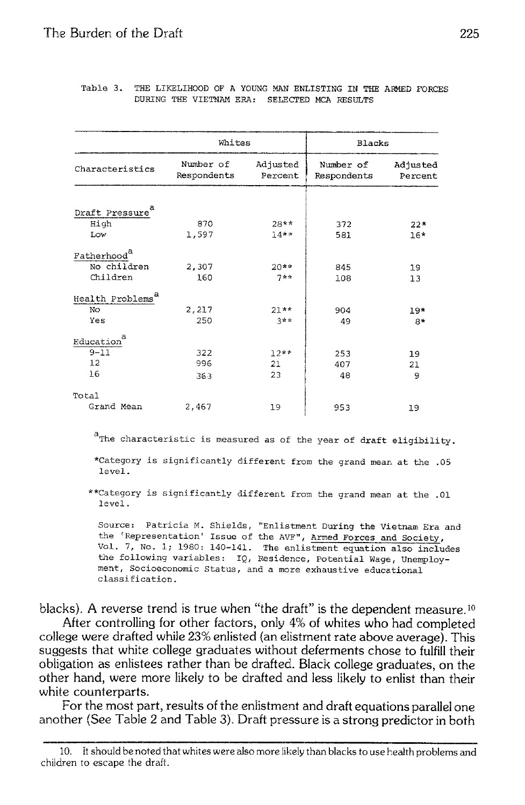|                              | Whites                   |                     | <b>Blacks</b>            |                     |
|------------------------------|--------------------------|---------------------|--------------------------|---------------------|
| Characteristics              | Number of<br>Respondents | Adjusted<br>Percent | Number of<br>Respondents | Adjusted<br>Percent |
|                              |                          |                     |                          |                     |
| Draft Pressure               |                          |                     |                          |                     |
| High                         | 870                      | $28**$              | 372                      | $22*$               |
| Low                          | 1,597                    | $14***$             | 581                      | 16*                 |
| Fatherhood <sup>a</sup>      |                          |                     |                          |                     |
| No children                  | 2,307                    | $20**$              | 845                      | 19                  |
| Children                     | 160                      | $7**$               | 108                      | 13                  |
| Health Problems <sup>a</sup> |                          |                     |                          |                     |
| No                           | 2,217                    | $21**$              | 904                      | $19*$               |
| Yes                          | 250                      | つまま                 | 49                       | $R*$                |
| а<br>Education               |                          |                     |                          |                     |
| $9 - 11$                     | 322                      | $12**$              | 253                      | 19                  |
| 12                           | 996                      | 21                  | 407                      | 21                  |
| 16                           | 363                      | 23                  | 48                       | 9                   |
| Total                        |                          |                     |                          |                     |
| Grand Mean                   | 2,467                    | 19                  | 953                      | 19                  |

#### Table 3. THE LIKELIHOOD OF A YOUNG MAN ENLISTING IN THE ARMED FORCES DURING THE VIETNAM ERA: SELECTED MCA RESULTS

<sup>a</sup> The characteristic is measured as of the year of draft eligibility.

\*Category is significantly different from the grand mean at the .05 level.

\*\* Category is significantly different from the grand mean at the .01  $lenA.$ 

Source: Patricia M. Shields, "Enlistment During the Vietnam Era and the 'Representation' Issue of the AVF", Armed Forces and Society, Vol. 7, No. 1; 1980: 140-141. The enlistment equation also includes the following variables: IQ, Residence, Potential Wage, Unemployment, Socioeconomic Status, and a more exhaustive educational classification.

blacks). A reverse trend is true when "the draft" is the dependent measure.<sup>10</sup>

After controlling for other factors, only 4% of whites who had completed college were drafted while 23% enlisted (an elistment rate above average). This suggests that white college graduates without deferments chose to fulfill their obligation as enlistees rather than be drafted. Black college graduates, on the other hand, were more likely to be drafted and less likely to enlist than their white counterparts.

For the most part, results of the enlistment and draft equations parallel one another (See Table 2 and Table 3). Draft pressure is a strong predictor in both

<sup>10.</sup> It should be noted that whites were also more likely than blacks to use health problems and children to escape the draft.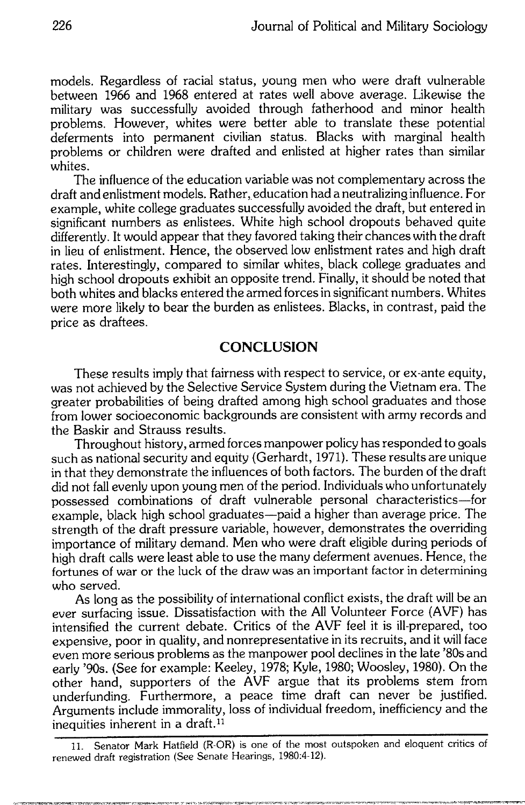models. Regardless of racial status, young men who were draft vulnerable between 1966 and 1968 entered at rates well above average. Likewise the military was successfully avoided through fatherhood and minor health problems. However, whites were better able to translate these potential deferments into permanent civilian status. Blacks with marginal health problems or children were drafted and enlisted at higher rates than similar whites.

The influence of the education variable was not complementary across the draft and enlistment models. Rather, education had a neutralizing influence. For example, white college graduates successfully avoided the draft, but entered in significant numbers as enlistees. White high school dropouts behaved quite differently. It would appear that they favored taking their chances with the draft in lieu of enlistment. Hence, the observed low enlistment rates and high draft rates. Interestingly, compared to similar whites, black college graduates and high school dropouts exhibit an opposite trend. Finally, it should be noted that both whites and blacks entered the armed forces in significant numbers. Whites were more likely to bear the burden as enlistees. Blacks, in contrast, paid the price as draftees.

# **CONCLUSION**

These results imply that fairness with respect to service, or ex-ante equity, was not achieved by the Selective Service System during the Vietnam era. The greater probabilities of being drafted among high school graduates and those from lower socioeconomic backgrounds are consistent with army records and the Baskir and Strauss results.

Throughout history, armed forces manpower policy has responded to goals such as national security and equity (Gerhardt, 1971). These results are unique in that they demonstrate the influences of both factors. The burden of the draft did not fall evenly upon young men of the period. Individuals who unfortunately possessed combinations of draft vulnerable personal characteristics—for example, black high school graduates—paid a higher than average price. The strength of the draft pressure variable, however, demonstrates the overriding importance of military demand. Men who were draft eligible during periods of high draft calls were least able to use the many deferment avenues. Hence, the fortunes of war or the luck of the draw was an important factor in determining who served.

As long as the possibility of international conflict exists, the draft will be an ever surfacing issue. Dissatisfaction with the All Volunteer Force (AVF) has intensified the current debate. Critics of the AVF feel it is ill-prepared, too expensive, poor in quality, and nonrepresentative in its recruits, and it will face even more serious problems as the manpower pool declines in the late '80s and early '90s. (See for example: Keeley, 1978; Kyle, 1980; Woosley, 1980). On the other hand, supporters of the AVF argue that its problems stem from underfunding. Furthermore, a peace time draft can never be justified. Arguments include immorality, loss of individual freedom, inefficiency and the inequities inherent in a draft.<sup>11</sup>

11. Senator Mark Hatfield (R-OR) is one of the most outspoken and eloquent critics of renewed draft registration (See Senate Hearings, 1980:4-12).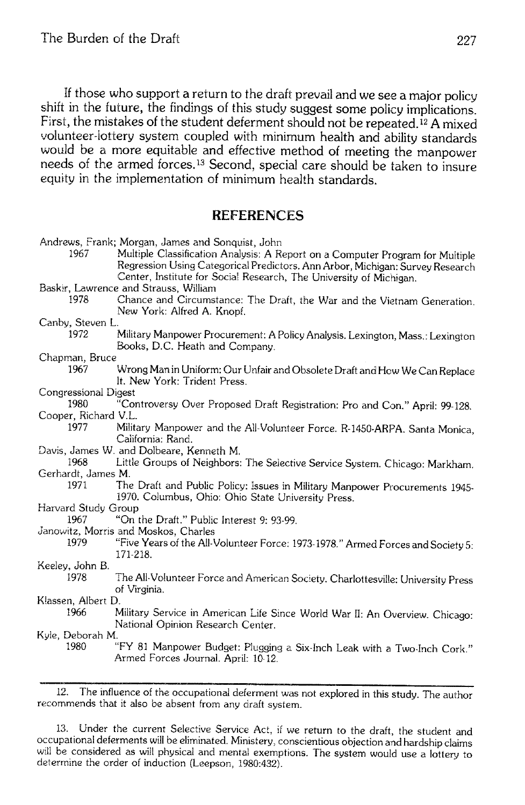If those who support a return to the draft prevail and we see a major policy shift in the future, the findings of this study suggest some policy implications. First, the mistakes of the student deferment should not be repeated.<sup>12</sup> A mixed volunteer-lottery system coupled with minimum health and ability standards would be a more equitable and effective method of meeting the manpower needs of the armed forces.<sup>13</sup> Second, special care should be taken to insure equity in the implementation of minimum health standards.

# **REFERENCES**

|                      | Andrews, Frank; Morgan, James and Sonquist, John                                                                                                                                                                                     |
|----------------------|--------------------------------------------------------------------------------------------------------------------------------------------------------------------------------------------------------------------------------------|
| 1967                 | Multiple Classification Analysis: A Report on a Computer Program for Multiple<br>Regression Using Categorical Predictors. Ann Arbor, Michigan: Survey Research<br>Center, Institute for Social Research, The University of Michigan. |
|                      | Baskir, Lawrence and Strauss, William                                                                                                                                                                                                |
| 1978                 | Chance and Circumstance: The Draft, the War and the Vietnam Generation.<br>New York: Alfred A. Knopf.                                                                                                                                |
| Canby, Steven L.     |                                                                                                                                                                                                                                      |
| 1972                 | Military Manpower Procurement: A Policy Analysis. Lexington, Mass.: Lexington<br>Books, D.C. Heath and Company.                                                                                                                      |
| Chapman, Bruce       |                                                                                                                                                                                                                                      |
| 1967                 | Wrong Man in Uniform: Our Unfair and Obsolete Draft and How We Can Replace<br>It. New York: Trident Press.                                                                                                                           |
| Congressional Digest |                                                                                                                                                                                                                                      |
| 1980                 | "Controversy Over Proposed Draft Registration: Pro and Con." April: 99-128.                                                                                                                                                          |
| Cooper, Richard V.L. |                                                                                                                                                                                                                                      |
| 1977                 | Military Manpower and the All-Volunteer Force. R-1450-ARPA. Santa Monica,<br>California: Rand.                                                                                                                                       |
|                      | Davis, James W. and Dolbeare, Kenneth M.                                                                                                                                                                                             |
| 1968                 | Little Groups of Neighbors: The Selective Service System. Chicago: Markham.                                                                                                                                                          |
| Gerhardt, James M.   |                                                                                                                                                                                                                                      |
| 1971                 | The Draft and Public Policy: Issues in Military Manpower Procurements 1945-<br>1970. Columbus, Ohio: Ohio State University Press.                                                                                                    |
| Harvard Study Group  |                                                                                                                                                                                                                                      |
| 1967                 | "On the Draft." Public Interest 9: 93-99.                                                                                                                                                                                            |
|                      | Janowitz, Morris and Moskos, Charles                                                                                                                                                                                                 |
| 1979                 | "Five Years of the All-Volunteer Force: 1973-1978." Armed Forces and Society 5:<br>171-218.                                                                                                                                          |
| Keeley, John B.      |                                                                                                                                                                                                                                      |
| 1978                 | The All-Volunteer Force and American Society. Charlottesville: University Press<br>of Virginia.                                                                                                                                      |
| Klassen, Albert D.   |                                                                                                                                                                                                                                      |
| 1966                 | Military Service in American Life Since World War II: An Overview. Chicago:<br>National Opinion Research Center.                                                                                                                     |
| Kyle, Deborah M.     |                                                                                                                                                                                                                                      |
| 1980                 | "FY 81 Manpower Budget: Plugging a Six-Inch Leak with a Two-Inch Cork."<br>Armed Forces Journal. April: 10-12.                                                                                                                       |
|                      |                                                                                                                                                                                                                                      |

12. The influence of the occupational deferment was not explored in this study. The author recommends that it also be absent from any draft system.

13. Under the current Selective Service Act, if we return to the draft, the student and occupational deferments will be eliminated. Ministery, conscientious objection and hardship claims will be considered as will physical and mental exemptions. The system would use a lottery to determine the order of induction (Leepson, 1980.432).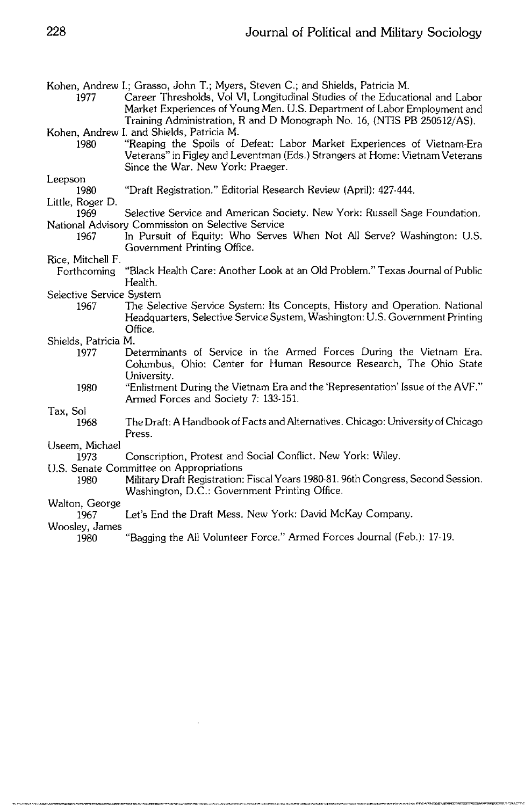Kohen, Andrew I.; Grasso, John T.; Myers, Steven C.; and Shields, Patricia M.

- Career Thresholds, Vol VI, Longitudinal Studies of the Educational and Labor 1977 Market Experiences of Young Men, U.S. Department of Labor Employment and Training Administration, R and D Monograph No. 16, (NTIS PB 250512/AS). Kohen, Andrew I. and Shields, Patricia M.
- "Reaping the Spoils of Defeat: Labor Market Experiences of Vietnam-Era 1980 Veterans" in Figley and Leventman (Eds.) Strangers at Home: Vietnam Veterans Since the War. New York: Praeger.

#### Leepson

"Draft Registration." Editorial Research Review (April): 427-444. 1980

## Little, Roger D.

- 1969 Selective Service and American Society. New York: Russell Sage Foundation. National Advisory Commission on Selective Service
	- In Pursuit of Equity: Who Serves When Not All Serve? Washington: U.S. 1967 Government Printing Office.
- Rice, Mitchell F.
- "Black Health Care: Another Look at an Old Problem." Texas Journal of Public Forthcoming Health.

#### Selective Service System

1967 The Selective Service System: Its Concepts, History and Operation. National Headquarters, Selective Service System, Washington: U.S. Government Printing Office.

#### Shields, Patricia M.

- Determinants of Service in the Armed Forces During the Vietnam Era. 1977 Columbus, Ohio: Center for Human Resource Research, The Ohio State University.
	- "Enlistment During the Vietnam Era and the 'Representation' Issue of the AVF." 1980 Armed Forces and Society 7: 133-151.

#### Tax, Sol

1968 The Draft: A Handbook of Facts and Alternatives. Chicago: University of Chicago Press.

Useem, Michael

- 1973 Conscription, Protest and Social Conflict. New York: Wiley.
- U.S. Senate Committee on Appropriations
	- Military Draft Registration: Fiscal Years 1980-81. 96th Congress, Second Session. 1980 Washington, D.C.: Government Printing Office.

## Walton, George

Let's End the Draft Mess. New York: David McKay Company. 1967

### Woosley, James

"Bagging the All Volunteer Force." Armed Forces Journal (Feb.): 17-19. 1980